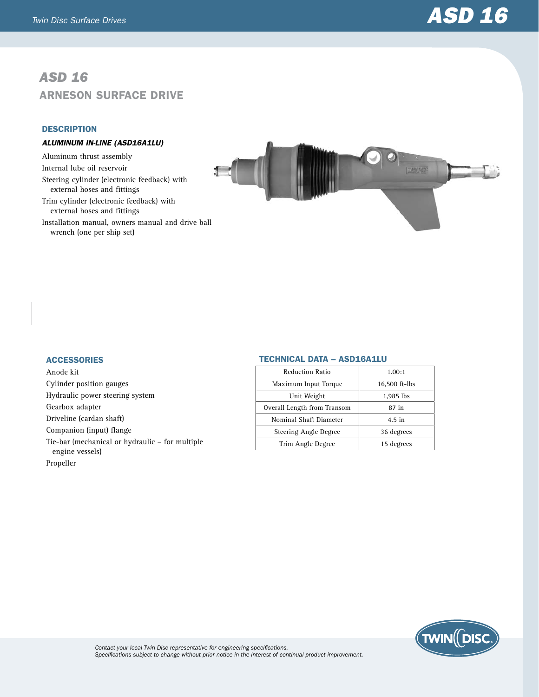# *Twin Disc Surface Drives ASD 16*

# *ASD 16* Arneson Surface Drive

# **DESCRIPTION**

# *ALUMINUM IN-LINE (ASD16A1LU)*

Aluminum thrust assembly Internal lube oil reservoir Steering cylinder (electronic feedback) with external hoses and fittings Trim cylinder (electronic feedback) with external hoses and fittings

Installation manual, owners manual and drive ball wrench (one per ship set)



#### **ACCESSORIES**

Anode kit Cylinder position gauges Hydraulic power steering system Gearbox adapter Driveline (cardan shaft) Companion (input) flange Tie-bar (mechanical or hydraulic – for multiple engine vessels) Propeller

# Technical Data – ASD16A1LU

| 1.00:1        |
|---------------|
| 16,500 ft-lbs |
| 1,985 lbs     |
| 87 in         |
| 4.5 in        |
| 36 degrees    |
| 15 degrees    |
|               |



*Contact your local Twin Disc representative for engineering specifications. Specifications subject to change without prior notice in the interest of continual product improvement.*